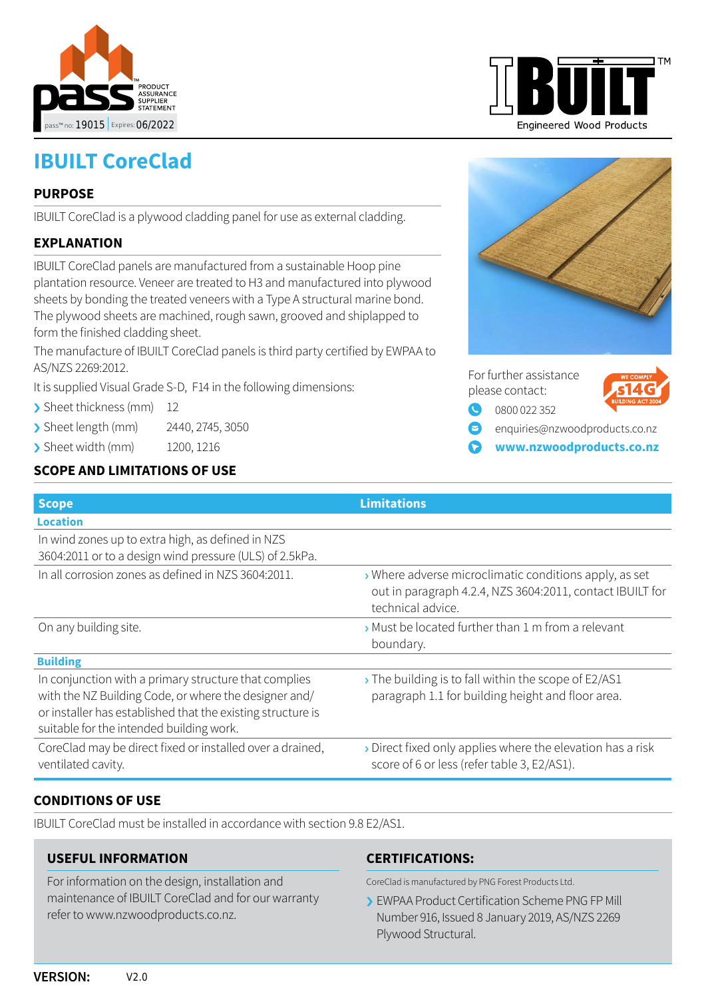



## **PURPOSE**

IBUILT CoreClad is a plywood cladding panel for use as external cladding.

## **EXPLANATION**

IBUILT CoreClad panels are manufactured from a sustainable Hoop pine plantation resource. Veneer are treated to H3 and manufactured into plywood sheets by bonding the treated veneers with a Type A structural marine bond. The plywood sheets are machined, rough sawn, grooved and shiplapped to form the finished cladding sheet.

The manufacture of IBUILT CoreClad panels is third party certified by EWPAA to AS/NZS 2269:2012.

It is supplied Visual Grade S-D, F14 in the following dimensions:

- > Sheet thickness (mm) 12
- › Sheet length (mm) 2440, 2745, 3050
- › Sheet width (mm) 1200, 1216

### **SCOPE AND LIMITATIONS OF USE**





|   | For further assistance<br>please contact: | <b>WE COMPLY</b><br>$J$ s14G |
|---|-------------------------------------------|------------------------------|
|   | $\bigcirc$ 0800 022 352                   | <b>BUILDING ACT 200</b>      |
| Ø | enquiries@nzwoodproducts.co.nz            |                              |

**[www.nzwoodproducts.co.nz](http://www.nzwoodproducts.co.nz)**

| <b>Scope</b>                                                                                                                                                                                                              | <b>Limitations</b>                                                                                                                       |
|---------------------------------------------------------------------------------------------------------------------------------------------------------------------------------------------------------------------------|------------------------------------------------------------------------------------------------------------------------------------------|
| <b>Location</b>                                                                                                                                                                                                           |                                                                                                                                          |
| In wind zones up to extra high, as defined in NZS<br>3604:2011 or to a design wind pressure (ULS) of 2.5kPa.                                                                                                              |                                                                                                                                          |
| In all corrosion zones as defined in NZS 3604:2011.                                                                                                                                                                       | > Where adverse microclimatic conditions apply, as set<br>out in paragraph 4.2.4, NZS 3604:2011, contact IBUILT for<br>technical advice. |
| On any building site.                                                                                                                                                                                                     | Must be located further than 1 m from a relevant<br>boundary.                                                                            |
| <b>Building</b>                                                                                                                                                                                                           |                                                                                                                                          |
| In conjunction with a primary structure that complies<br>with the NZ Building Code, or where the designer and/<br>or installer has established that the existing structure is<br>suitable for the intended building work. | The building is to fall within the scope of E2/AS1<br>paragraph 1.1 for building height and floor area.                                  |
| CoreClad may be direct fixed or installed over a drained,<br>ventilated cavity.                                                                                                                                           | > Direct fixed only applies where the elevation has a risk<br>score of 6 or less (refer table 3, E2/AS1).                                |

### **CONDITIONS OF USE**

IBUILT CoreClad must be installed in accordance with section 9.8 E2/AS1.

#### **USEFUL INFORMATION**

For information on the design, installation and maintenance of IBUILT CoreClad and for our warranty refer to www.nzwoodproducts.co.nz.

#### **CERTIFICATIONS:**

CoreClad is manufactured by PNG Forest Products Ltd.

› EWPAA Product Certification Scheme PNG FP Mill Number 916, Issued 8 January 2019, AS/NZS 2269 Plywood Structural.